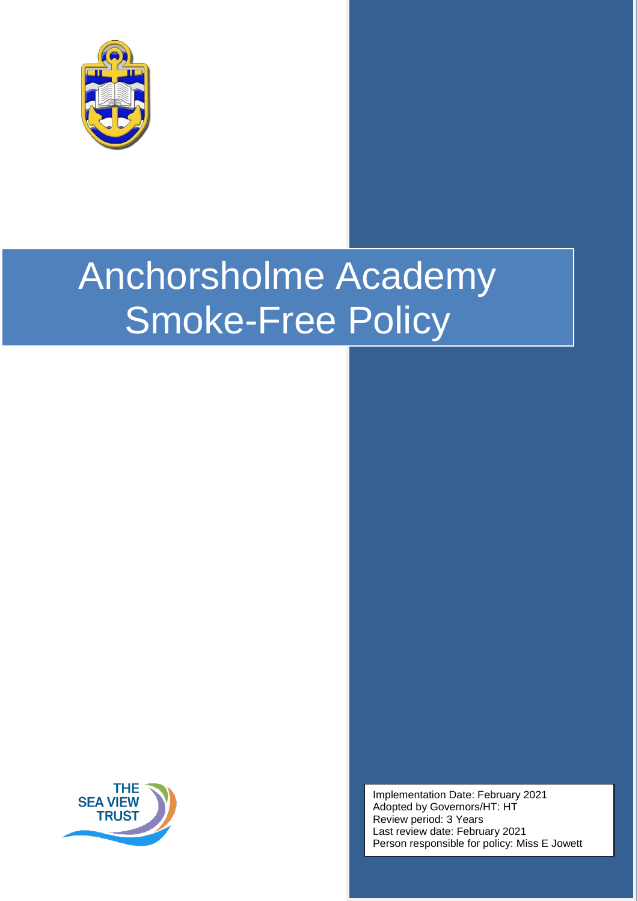

# Anchorsholme Academy Smoke-Free Policy



Implementation Date: February 2021 Adopted by Governors/HT: HT Review period: 3 Years Last review date: February 2021 Person responsible for policy: Miss E Jowett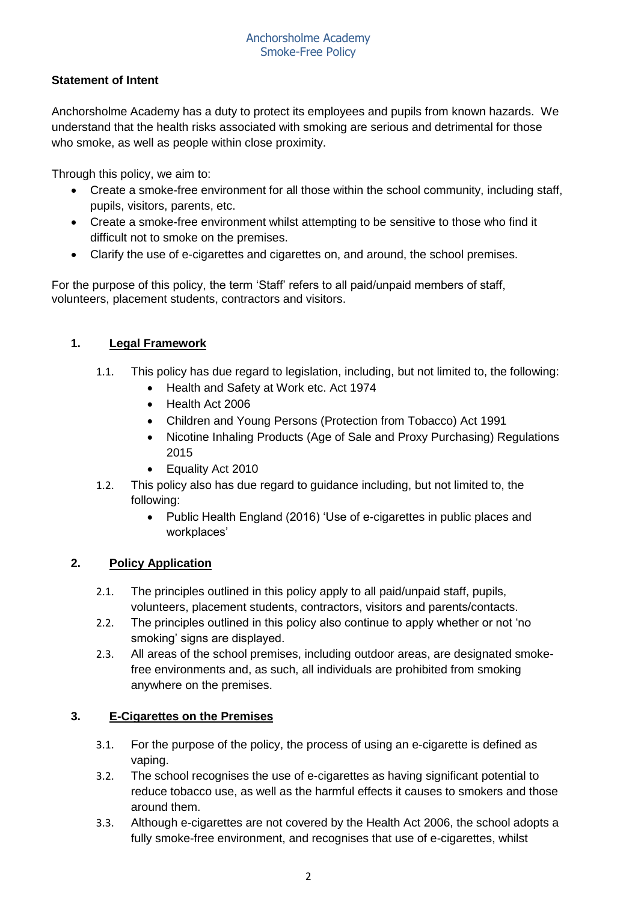## **Statement of Intent**

Anchorsholme Academy has a duty to protect its employees and pupils from known hazards. We understand that the health risks associated with smoking are serious and detrimental for those who smoke, as well as people within close proximity.

Through this policy, we aim to:

- Create a smoke-free environment for all those within the school community, including staff, pupils, visitors, parents, etc.
- Create a smoke-free environment whilst attempting to be sensitive to those who find it difficult not to smoke on the premises.
- Clarify the use of e-cigarettes and cigarettes on, and around, the school premises.

For the purpose of this policy, the term 'Staff' refers to all paid/unpaid members of staff, volunteers, placement students, contractors and visitors.

## **1. Legal Framework**

- 1.1. This policy has due regard to legislation, including, but not limited to, the following:
	- Health and Safety at Work etc. Act 1974
	- Health Act 2006
	- Children and Young Persons (Protection from Tobacco) Act 1991
	- Nicotine Inhaling Products (Age of Sale and Proxy Purchasing) Regulations 2015
	- Equality Act 2010
- 1.2. This policy also has due regard to guidance including, but not limited to, the following:
	- Public Health England (2016) 'Use of e-cigarettes in public places and workplaces'

## **2. Policy Application**

- 2.1. The principles outlined in this policy apply to all paid/unpaid staff, pupils, volunteers, placement students, contractors, visitors and parents/contacts.
- 2.2. The principles outlined in this policy also continue to apply whether or not 'no smoking' signs are displayed.
- 2.3. All areas of the school premises, including outdoor areas, are designated smokefree environments and, as such, all individuals are prohibited from smoking anywhere on the premises.

## **3. E-Cigarettes on the Premises**

- 3.1. For the purpose of the policy, the process of using an e-cigarette is defined as vaping.
- 3.2. The school recognises the use of e-cigarettes as having significant potential to reduce tobacco use, as well as the harmful effects it causes to smokers and those around them.
- 3.3. Although e-cigarettes are not covered by the Health Act 2006, the school adopts a fully smoke-free environment, and recognises that use of e-cigarettes, whilst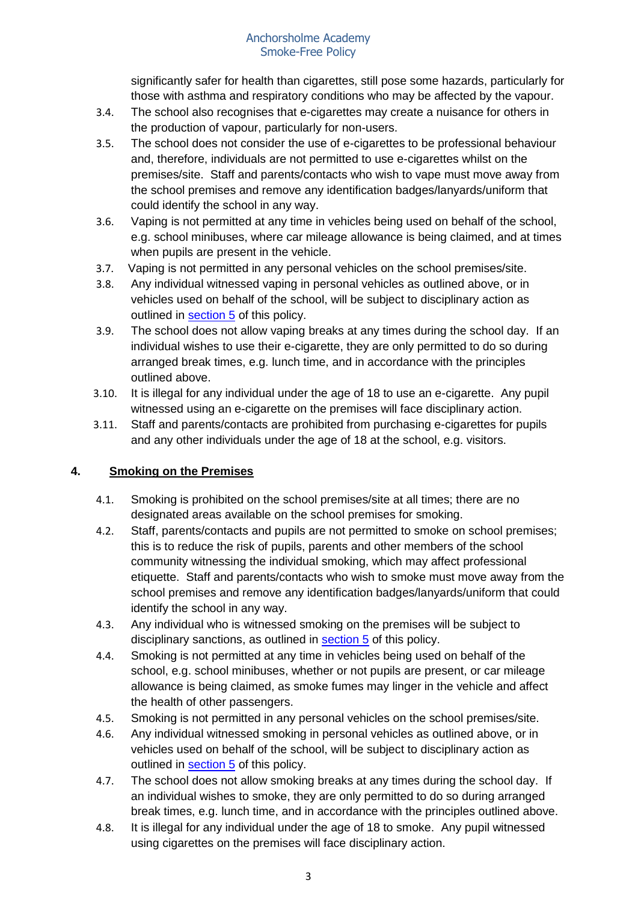significantly safer for health than cigarettes, still pose some hazards, particularly for those with asthma and respiratory conditions who may be affected by the vapour.

- 3.4. The school also recognises that e-cigarettes may create a nuisance for others in the production of vapour, particularly for non-users.
- 3.5. The school does not consider the use of e-cigarettes to be professional behaviour and, therefore, individuals are not permitted to use e-cigarettes whilst on the premises/site. Staff and parents/contacts who wish to vape must move away from the school premises and remove any identification badges/lanyards/uniform that could identify the school in any way.
- 3.6. Vaping is not permitted at any time in vehicles being used on behalf of the school, e.g. school minibuses, where car mileage allowance is being claimed, and at times when pupils are present in the vehicle.
- 3.7. Vaping is not permitted in any personal vehicles on the school premises/site.
- 3.8. Any individual witnessed vaping in personal vehicles as outlined above, or in vehicles used on behalf of the school, will be subject to disciplinary action as outlined in [section 5](#page-3-0) of this policy.
- 3.9. The school does not allow vaping breaks at any times during the school day. If an individual wishes to use their e-cigarette, they are only permitted to do so during arranged break times, e.g. lunch time, and in accordance with the principles outlined above.
- 3.10. It is illegal for any individual under the age of 18 to use an e-cigarette. Any pupil witnessed using an e-cigarette on the premises will face disciplinary action.
- 3.11. Staff and parents/contacts are prohibited from purchasing e-cigarettes for pupils and any other individuals under the age of 18 at the school, e.g. visitors.

## **4. Smoking on the Premises**

- 4.1. Smoking is prohibited on the school premises/site at all times; there are no designated areas available on the school premises for smoking.
- 4.2. Staff, parents/contacts and pupils are not permitted to smoke on school premises; this is to reduce the risk of pupils, parents and other members of the school community witnessing the individual smoking, which may affect professional etiquette. Staff and parents/contacts who wish to smoke must move away from the school premises and remove any identification badges/lanyards/uniform that could identify the school in any way.
- 4.3. Any individual who is witnessed smoking on the premises will be subject to disciplinary sanctions, as outlined in [section 5](#page-3-0) of this policy.
- 4.4. Smoking is not permitted at any time in vehicles being used on behalf of the school, e.g. school minibuses, whether or not pupils are present, or car mileage allowance is being claimed, as smoke fumes may linger in the vehicle and affect the health of other passengers.
- 4.5. Smoking is not permitted in any personal vehicles on the school premises/site.
- 4.6. Any individual witnessed smoking in personal vehicles as outlined above, or in vehicles used on behalf of the school, will be subject to disciplinary action as outlined in [section 5](#page-3-0) of this policy.
- 4.7. The school does not allow smoking breaks at any times during the school day. If an individual wishes to smoke, they are only permitted to do so during arranged break times, e.g. lunch time, and in accordance with the principles outlined above.
- 4.8. It is illegal for any individual under the age of 18 to smoke. Any pupil witnessed using cigarettes on the premises will face disciplinary action.